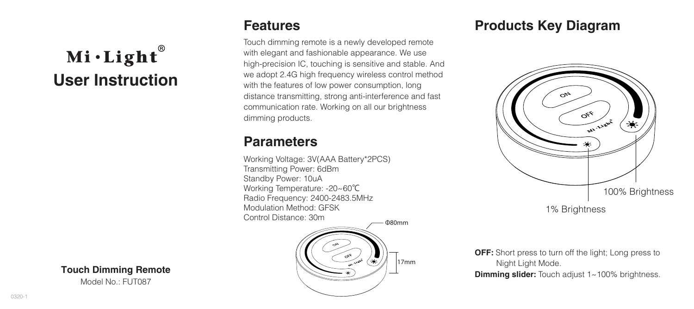# $Mi·Light<sup>®</sup>$ **User Instruction**

#### **Touch Dimming Remote**

Model No.: FUT087

### **Features**

Touch dimming remote is a newly developed remote with elegant and fashionable appearance. We use high-precision IC, touching is sensitive and stable. And we adopt 2.4G high frequency wireless control method with the features of low power consumption, long distance transmitting, strong anti-interference and fast communication rate. Working on all our brightness dimming products.

## **Parameters**

Working Voltage: 3V(AAA Battery\*2PCS) Transmitting Power: 6dBm Standby Power: 10uA Working Temperature: -20~60℃ Radio Frequency: 2400-2483.5MHz Modulation Method: GFSK Control Distance: 30m



# **Products Key Diagram**



1% Brightness

**OFF:** Short press to turn off the light; Long press to Night Light Mode.

**Dimming slider:** Touch adjust 1~100% brightness.